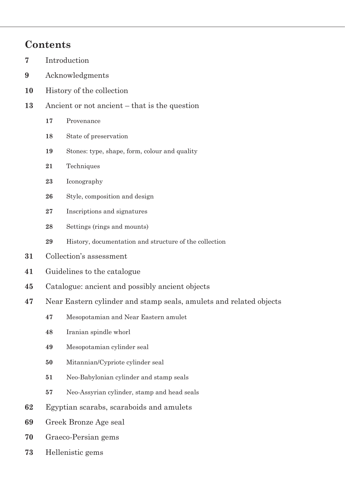## **Contents**

- Introduction
- Acknowledgments
- History of the collection
- Ancient or not ancient that is the question
	- **17** Provenance
	- **18** State of preservation
	- Stones: type, shape, form, colour and quality
	- Techniques
	- Iconography
	- Style, composition and design
	- Inscriptions and signatures
	- Settings (rings and mounts)
	- History, documentation and structure of the collection
- Collection's assessment
- Guidelines to the catalogue
- Catalogue: ancient and possibly ancient objects
- Near Eastern cylinder and stamp seals, amulets and related objects
	- **47** Mesopotamian and Near Eastern amulet
	- Iranian spindle whorl
	- Mesopotamian cylinder seal
	- Mitannian/Cypriote cylinder seal
	- Neo-Babylonian cylinder and stamp seals
	- Neo-Assyrian cylinder, stamp and head seals
- Egyptian scarabs, scaraboids and amulets
- Greek Bronze Age seal
- Graeco-Persian gems
- Hellenistic gems